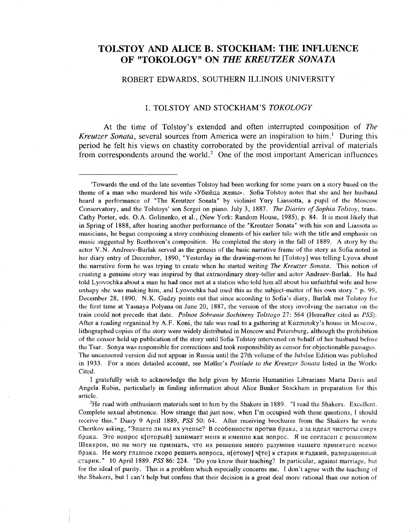# TOLSTOY AND ALICE B. STOCKHAM: THE INFLUENCE OF "TOKOLOGY" ON THE KREUTZER SONATA

### ROBERT EDWARDS, SOUTHERN ILLINOIS UNIVERSITY

## I. TOLSTOY AND STOCKHAM'S *TOKOLOGY*

At the time of Tolstoy's extended and often interrupted composition of *The Kreutzer Sonata*, several sources from America were an inspiration to him.<sup>1</sup> During this period he felt his views on chastity corroborated by the providential arrival of materials from correspondents around the world.<sup>2</sup> One of the most important American influences

ITowards the end of the late seventies Tolstoy had been working for some years on a story based on the theme of a man who murdered his wife «Убийца жены». Sofia Tolstoy notes that she and her husband heard a performance of "The Kreutzer Sonata" by violinist Yury Liassotta, a pupil of the Moscow Conservatory, and the Tolstoys' son'Sergei on piano. July 3~ 1887. *The Diaries of Sophia Tolstoy,* trans. Cathy Porter, eds. G.A. Golinenko, et aI., (New York: Random House, 1985), p. 84. It is most likely that in Spring of 1888, after hearing another performance of the "Kreutzer Sonata" with his son and Liassota as musicians, he began composing a story combining elements of his earlier tale with the title and emphasis on music suggested by Beethoven's composition. He completed the story in the fall of 1889. A story by the actor V. N. Andreev-Burlak served as the genesis of the basic narrative frame of the story as Sofia noted in her diary entry of December, 1890, "Yesterday in the drawing-room he [Tolstoy] was telling Lyova about the narrative form he was trying to create when he started writing *The Kreutzer Sonata.* This notion of creating a genuine story was inspired by that extraordinary story-teller and actor Andreev-Burlak. He had told Lyovochka about a man he had once met at a station who told him all about his unfaithful wife and how unhapy she was making him, and Lyovochka had used this as the subject-matter of his own story. $\degree$  p. 99, December 28, 1890. N.K. Gudzy points out that since according to Sofia's diary, Burlak met Tolstoy for the first time at Yasnaya Polyana on June 20, 1887, the version of the story involving the narrator on the 'train could not precede that date. *Polnoe Sobranie Sochineny Tolstogo* 27: 564 (Hereafter cited as *PSS).* After a reading organized by A.F. Koni, the tale was read to a gathering at Kuzminsky's house in Moscow, lithographed copies of the story were widely distributed in Moscow and Petersburg, although the prohibition of the censor held up publication of the story until Sofia Tolstoy intervened on behalf of her husband before the Tsar. Sonya was responsible for corrections and took responsibility as censor for objectionable passages. The uncensored version did not appear in Russia until the 27th volume of the Jubilee Edition was published in 1933. For a more detailed account, see Meller's *Postlude to the Kreutzer Sonata* listed in, the Works Cited.

I gratefully wish to acknowledge the help given by Morris Humanities Librarians Marta Davis and Angela Rubin, particularly in finding information about Alice Bunker Stockham in preparation for this article.

2He read with enthusiasm materials sent to him by the Shakers in 1889. "I read the Shakers. Excellent. Complete sexual abstinence. How strange that just now, when I'm occupied with these questions, I should receive this." Diary 9 April 1889, *PSS* 50: 64. After receiving brochures from the Shakers he wrote Chertkov asking, "Знаете ли вы их ученье? В особенности против брака, а за идеал чистоты сверх брака. Это вопрос к[оторый] занимает меня и именно как вопрос. Я не согласен с решением Шекеров, но не могу не признать, что их решение много разумнее нашего принятаго всеми брака. Не могу главное скоро решить вопроса, п[отому] ч[то] я старик и гадкий, развращенный cTapHK." 10 April 1889. *PSS86:* 224. "Do you know their teaching? In particular, against marriage, but for the ideal of purity. This is a problem which especially concerns me. I don't agree with the teaching of the Shakers, but I can't help but confess that their decision is a great deal more rational than our notion of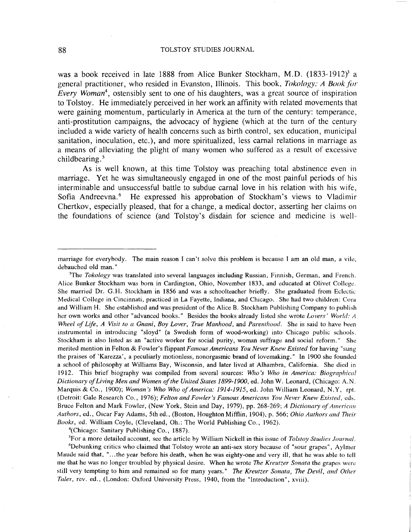was a book received in late 1888 from Alice Bunker Stockham, M.D. (1833-1912)<sup>3</sup> a general practitioner, who resided in Evanston, Illinois. This book, Tokology: *A Book for Every* Woman*<sup>4</sup> ,* ostensibly sent to one of his daughters, was a great source of inspiration to Tolstoy. He immediately perceived in her work an affinity with related movements that were gaining momentum, particularly in America at the turn of the century: temperance, anti-prostitution campaigns, the advocacy of hygiene (which at the turn of the century included a wide variety of health concerns such as birth control, sex education, municipal sanitation, inoculation, etc.), and more spiritualized, less carnal relations in marriage as a means of alleviating the plight of many women who suffered as a result of excessive childbearing. $5$ 

As is well known, at this time Tolstoy was preaching total abstinence even in marriage. Yet he was simultaneously engaged in one of the most painful periods of his interminable and unsuccessful battle to subdue carnal love in his relation with his wife, Sofia Andreevna.<sup>6</sup> He expressed his approbation of Stockham's views to Vladimir Chertkov, especially pleased, that for a change, a medical doctor, asserting her claims on the foundations of science (and Tolstoy's disdain for science and medicine is well-

3The *Tokology* was translated into several languages including Russian; Finnish, German, and French. Alice Bunker Stockham was born in Cardington, Ohio, November 1833, and educated at Olivet College. She married Dr. G.H. Stockham in 1856 and was a schoolteacher briefly. She graduated from Eclectic Medical College in Cincinnati, practiced in La Fayette, Indiana, and Chicago. She had two children: Cora and William H. She established and was president of the Alice B. Stockham Publishing Company to puhlish her own works and other "advanced books." Besides the books already listed she wrote *Lovers' World: A Wheel of Life, A Visit to a Gnani, Boy Lover, True Manhood,* and *Parenthood.* She is said to have heen instrumental in introducing "sloyd" (a Swedish form of wood-working) into Chicago public schools. Stockham is also listed as an "active worker for social purity, woman suffrage and social reform." She merited mention in Felton & Fowler's flippant *Fafnous Arnericans You Never Knew Existed* for having" sung the praises of 'Karezza', a peculiarly motionless, nonorgasmic brand of lovemaking." In 1900 she founded a school of philosophy at Williams Bay, Wisconsin, and later lived at Alhambra, California. She died in 1912. This brief biography was compiled from several sources: *Who's Who in Afnerica: Biographical DictionalY ofLiving Melland Women ofthe United States* 1899-1900, ed. John W. Leonard, (Chicago: A.N. Marquis & Co., 1900); *Woman's Who Who of America: 1914-1915*, ed. John William Leonard, N.Y. rpt. (Detroit: Gale Research Co., 1976); *Felton and Fowler's Fafnous Afnericans You Never Knew Existed,* eds. Bruce Felton and Mark Fowler, (New York, Stein and Day, 1979), pp. 268-269; *A Dictionary oj'Afnericall Authors,* ed., Oscar Fay Adams, 5th ed., (Boston, Houghton Mifflin, 1904), p. 566; *Ohio Authors llnd 771cir Books,* ed. William Coyle, (Cleveland, Oh.: The World Publishing Co., 1962).

4(Chicago: Sanitary Publishing Co., 1887).

<sup>5</sup>For a more detailed account, see the article by William Nickell in this issue of *Tolstoy Studies Journal*. <sup>6</sup>Debunking critics who claimed that Tolstoy wrote an anti-sex story because of "sour grapes", Aylmer Maude said that, "... the year before his death, when he was eighty-one and very ill, that he was able to tell me that he was no longer troubled by physical desire. When he wrote *The Kreutzer Sonata* the grapes were still very tempting to him and remained so for many years." The Kreutzer Sonata, The Devil, and Other *Tales,* rev. ed., (London: Oxford University Press, 1940, from the "Introduction", xviii).

marriage for everybody. The main reason I can't solve this problem is because I am an old man, a vile, debauched old man. "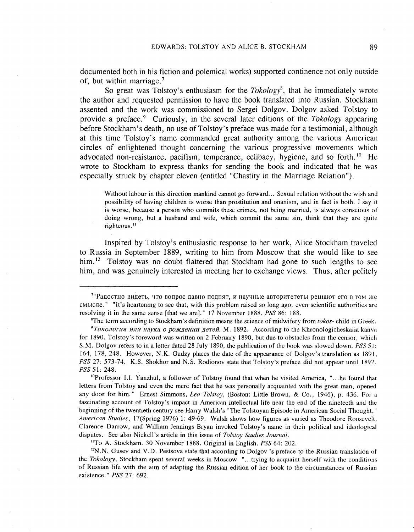documented both in his fiction and polemical works) supported continence not only outside of, but within marriage. <sup>7</sup>

So great was Tolstoy's enthusiasm for the Tokology*8,* that he immediately wrote the author and requested permission to have the book translated into Russian. Stockham assented and the work was commissioned to Sergei Dolgov. Dolgov asked Tolstoy to provide a preface.<sup>9</sup> Curiously, in the several later editions of the Tokology appearing before Stockham's death, no use of Tolstoy's preface was made for a testimonial, although at this time Tolstoy's name commanded great authority among the various American circles of enlightened thought concerning the various progressive movements which advocated non-resistance, pacifism, temperance, celibacy, hygiene, and so forth.<sup>10</sup> He wrote to Stockham to express thanks for sending the book and indicated that he was especially struck by chapter eleven (entitled "Chastity in the Marriage Relation").

Without labour in this direction mankind cannot go forward... Sexual relation without the wish and possibility of having children is worse than prostitution and onanism, and in fact is both. I say it is worse, because a person who commits these crimes, not being married, is always conscious of doing wrong, but a husband and wife, which commit the same sin, think that they are quite righteous. II

Inspired by Tolstoy's enthusiastic response to her work, Alice Stockham traveled to Russia in September 1889, writing to him from Moscow that she would like to see him.<sup>12</sup> Tolstoy was no doubt flattered that Stockham had gone to such lengths to see him, and was genuinely interested in meeting her to exchange views. Thus, after politely

<sup>10</sup>Professor I.I. Yanzhul, a follower of Tolstoy found that when he visited America, "... he found that letters from Tolstoy and even the mere fact that he was personally acquainted with the great man, opened any door for him." Ernest Simmons, *Leo Tolstoy,* (Boston: Little Brown, & Co., 1946), p. 436. For a fascinating account of Tolstoy's impact in American intellectual life near the end of the nineteeth and the beginning of the twentieth century see Harry Walsh's "The Tolstoyan Episode in American Social Thought," *Atnerican Stu{lies,* 17(Spring 1976) 1: 49-69. Walsh shows how figures as varied as Theodore Roosevelt, Clarence Darrow, and William Jennings Bryan invoked Tolstoy's name in their political and ideological

disputes. See also Nickell's article in this issue of *Tolstoy Studies Journal.*

liTo A. Stockham. 30 November 1888. Original in English. *PSS* 64: 202.

 $12N$ .N. Gusev and V.D. Pestsova state that according to Dolgov's preface to the Russian translation of the *Tokology,* Stockham spent several weeks in Moscow "... trying to acquaint herself with the conditions of Russian life with the aim of adapting the Russian edition of her book to the circumstances of Russian existence." *PSS* 27: 692.

 $7"$ Радостно видеть, что вопрос давно поднят, и научные авторитететы решают его в том же cMblcne." "It's heartening to see that, with this problem raised so long ago, even scientific authorities are resolving it in the same sense [that we are]." 17 November 1888. *PSS* 86: 188.

<sup>8</sup>The term according to Stockham's definition means the science of midwifery from *tokos-* child in Greek.

<sup>&</sup>lt;sup>9</sup> Токология или наука о рождении детей. М. 1892. According to the Khronologicheskaiia kanva for 1890, Tolstoy's foreword was written on 2 February 1890, but due to obstacles from the censor, which S.M. Dolgov refers to in a letter dated 28 July 1890, the publication of the book was slowed down. *PSS* 51: 164, 178, 248. However, N.K. Gudzy places the date of the appearance of Dolgov's translation as 1891, *PSS* 27: 573-74. K.S. Shokhor and N.S. Rodionov state that Tolstoy's preface did not appear until 1892. *PSS* 51: 248.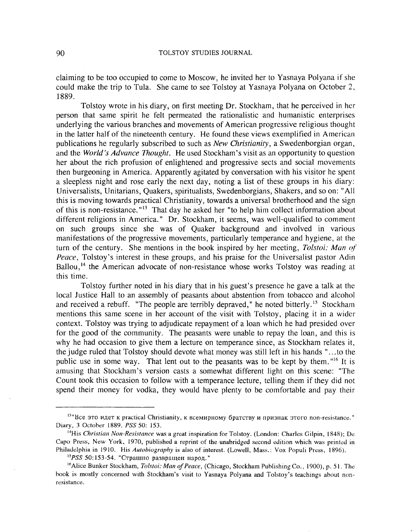claiming to be too occupied to come to Moscow, he invited her to Yasnaya Polyana if she could make the trip to Tula. She came to see Tolstoy at Yasnaya Polyana on October 2, 1889.

Tolstoy wrote in his diary, on first meeting Dr. Stockham, that he perceived in, her person that same spirit he felt permeated the rationalistic and humanistic enterprises underlying the various branches and movements of American progressive religious thought in the latter half of the nineteenth century. He found these views exemplified in American publications he regularly subscribed to such as *New Christianity,* a Swedenborgian organ, and the *World's Advance Thought.* He used Stockham's visit as an opportunity to question her about the rich profusion of enlightened and progressive sects and social movements then burgeoning in America. Apparently agitated by conversation with his visitor he spent a sleepless night and rose early the next day, noting a list of these groups in his diary: Universalists, Unitarians, Quakers, spiritualists, Swedenborgians, Shakers, and so on: "All this is moving towards practical Christianity, towards a universal brotherhood and the sign of this is non-resistance."<sup>13</sup> That day he asked her "to help him collect information about different religions in America." Dr. Stockham, it seems, was well-qualified to comment on such groups since she was of Quaker background and involved in various manifestations of the progressive movements, particularly temperance and hygiene, at the turn of the century. She mentions in the book inspired by her meeting, *Tolstoi: Man of Peace,* Tolstoy's interest in these groups, and his praise for the Universalist pastor Adin Ballou,<sup>14</sup> the American advocate of non-resistance whose works Tolstoy was reading at this time.

Tolstoy further noted in his diary that in his guest's presence he gave a talk at the local Justice Hall to an assembly of peasants about abstention from tobacco and alcohol and received a rebuff. "The people are terribly depraved," he noted bitterly.<sup>15</sup> Stockham mentions this same scene in her account of the visit with Tolstoy, placing it in a wider context. Tolstoy was trying to adjudicate repayment of a loan which he had presided over for the good of the community. The peasants were unable to repay the loan, and this is why he had occasion to give them a lecture on temperance since, as Stockham relates it, the judge ruled that Tolstoy should devote what money was still left in his hands" ...to the public use in some way. That lent out to the peasants was to be kept by them."<sup>16</sup> It is amusing that Stockham's version casts a somewhat different light on this scene: "The Count took this occasion to follow with a temperance lecture, telling them if they did not spend their money for vodka, they would have plenty to be comfortable and pay their

<sup>13&</sup>quot; Bce это идет к practical Christianity, к всемирному братству и признак этого non-resistance." Diary, 3 October 1889. *PSS* 50: 153.

<sup>&#</sup>x27;4His *Christian Non-Resistance* was a great inspiration for Tolstoy. (London: Charles Gilpin, 1848); De Capo Press, New York, 1970, published a reprint of the unabridged second edition which was printed in Philadelphia in 1910. His *Autobiography* is also of interest. (Lowell, Mass.: Vox Populi Press, 1896).

<sup>&</sup>lt;sup>15</sup>PSS 50:153-54. "Страшно развращен народ."

<sup>&</sup>lt;sup>16</sup>Alice Bunker Stockham, *Tolstoi: Man of Peace*, (Chicago, Stockham Publishing Co., 1900), p. 51. The hook is mostly concerned with Stockham's visit to Yasnaya Polyana and Tolstoy's teachings about nonresistance.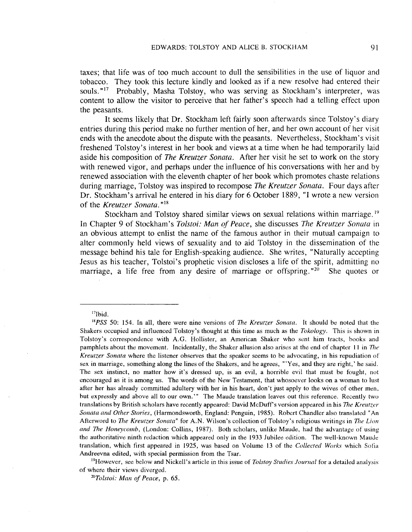taxes; that life was of too much account to dull the sensibilities in the use of liquor and tobacco. They took this lecture kindly and looked as if a new resolve had entered their souls. "<sup>17</sup> Probably, Masha Tolstoy, who was serving as Stockham's interpreter, was content to allow the visitor to perceive that her father's speech had a telling effect upon the peasants.

It seems likely that Dr. Stockham left fairly soon afterwards since Tolstoy's diary entries during this period make no further mention of her, and her own account of her visit ends with the anecdote about the dispute with the peasants. Nevertheless, Stockham's visit freshened Tolstoy's interest in her book and views at a time when he had temporarily laid aside his composition of *The Kreutzer Sonata*. After her visit he set to work on the story with renewed vigor, and perhaps under the influence of his conversations with her and by renewed association with the eleventh chapter of her book which promotes chaste relations during marriage, Tolstoy was inspired to recompose *The Kreutzer Sonata.* Four days after Dr. Stockham's arrival he entered in his diary for 6 October 1889, "I wrote a new version of the *Kreutzer Sonata. "18*

Stockham and Tolstoy shared similar views on sexual relations within marriage.<sup>19</sup> In Chapter 9 of Stockham's *Tolstoi: Man qf Peace,* she discusses *The Kreutzer Sonata* in an obvious attempt to enlist the name of the famous author in their mutual campaign to alter commonly held views of sexuality and to aid Tolstoy in the dissemination of the message behind his tale for English-speaking audience. She writes, "Naturally accepting Jesus as his teacher, Tolstoi's prophetic vision discloses a life of the spirit, admitting no marriage, a life free from any desire of marriage or offspring."<sup>20</sup> She quotes or

17Ibid.

19However, see below and Nickell's article in this issue of *Tolstoy Studies Journal* for a detailed analysis of where their views diverged.

*2OTolstoi: Mall of Peace,* p. 65.

*<sup>18</sup>pSS* 50: 154. In all, there were nine versions of *The Kreutzer Sonata.* It should be noted that the Shakers occupied and intluenced Tolstoy's thought at this time as much as the *Tokology.* This is shown in Tolstoy's correspondence with A.G. Hollister, an American Shaker who sent him tracts, hooks and pamphlets about the movement. Incidentally, the Shaker allusion also arises at the end of chapter 11 in *The Kreutzer Sonata* where the listener observes that the speaker seems to be advocating, in his repudiation of sex in marriage, something along the lines of the Shakers, and he agrees, "'Yes, and they are right, ' he said. The sex instinct, no matter how it's dressed up, is an evil, a horrible evil that must be fought, not encouraged as it is among us. The words of the New Testament, that whosoever looks on a woman to lust after her has already committed adultery with her in his heart, don't just apply to the wives of other men, but expressly and above all to our own. '" The Maude translation leaves out this reference. Recently two translations by British scholars have recently appeared: David McDuffs version appeared in his *The Kreutzer Sonata and Other Stories,* (Harmondsworth, England: Penguin, 1985). Robert Chandler also translated"An Afterword to *The Kreutzer Sonata"* for A.N. Wilson's collection of Tolstoy's religious writings in *771e LiO/l and 771e HOlleycofnb,* (London: Collins, 1987). Both scholars, unlike Maude, had the advantage of using the authoritative ninth redaction which appeared only in the 1933 Jubilee edition. The well-known Maude translation, which first appeared in 1925, was based on Volume 13 of the *Collected Works* which Sofia Andreevna edited, with special permission from the Tsar. .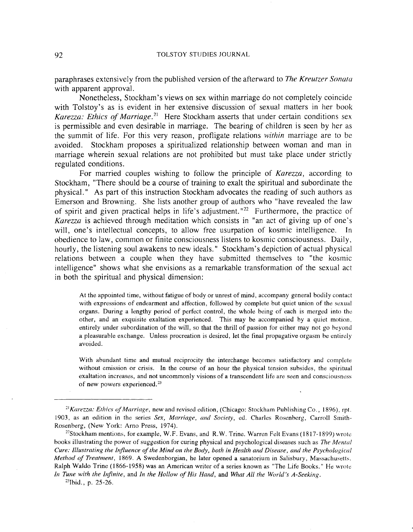paraphrases extensively from the published version of the afterward to *The Kreutzer Sonata* with apparent approval.

Nonetheless, Stockham's views on sex within marriage do not completely coincide with Tolstoy's as is evident in her extensive discussion of sexual matters in her book *Karezza: Ethics of Marriage.*<sup>21</sup> Here Stockham asserts that under certain conditions sex is permissible and even desirable in marriage. The bearing of children is seen by her as the summit of life. For this very reason, profligate relations *within* marriage are to be avoided. Stockham proposes a spiritualized relationship between woman and man in marriage wherein sexual relations are not prohibited but must take place under strictly regulated conditions.

For married couples wishing to follow the principle of *Karezza,* according to Stockham, "There should be a course of training to exalt the spiritual and subordinate the physical." As part of this instruction Stockham advocates the reading of such authors as Emerson and Browning. She lists another group of authors who "have revealed the law of spirit and given practical helps in life's adjustment."<sup>22</sup> Furthermore, the practice of *Karezza* is achieved through meditation which consists in "an act of giving up of one's will, one's intellectual concepts, to allow free usurpation of kosmic intelligence. In obedience to law, common or finite consciousness listens to kosmic consciousness. Daily, hourly, the listening soul awakens to new ideals." Stockham's depiction of actual physical relations between a couple when they have submitted themselves to "the kosmic intelligence" shows what she envisions as a remarkable transformation of the sexual act in both the spiritual and physical dimension:

At the appointed time, without fatigue of body or unrest of mind, accompany general bodily contact with expressions of endearment and affection, followed by complete but quiet union of the sexual organs. During a lengthy period of perfect control, the whole being of each is merged into the other, and an exquisite exaltation experienced. This may be accompanied by a quiet motion, entirely under subordination of the will, so that the thrill of passion for either may not go beyond a pleasurable exchange. Unless procreation is desired, let the final propagative orgasm be entirely avoided.

With abundant time and mutual reciprocity the interchange becomes satisfactory and complete without emission or crisis. In the course of an hour the physical tension subsides, the spiritual exaltation increases, and not uncommonly visions of a transcendent life are seen and consciousness of new powers experienced. <sup>23</sup>

*<sup>&#</sup>x27;2IKarezza: Ethics ofMarriage,* new and revised edition, (Chicago: Stockham Publishing Co., 1896), rpt. 1903, as an edition in the series Sex, Marriage, and Society, ed. Charles Rosenberg, Carroll Smith-Rosenberg, (New York: Arno Press, 1974).

 $22$ Stockham mentions, for example, W. F. Evans, and R.W. Trine. Warren Felt Evans (1817-1899) wrote hooks illustrating the power of suggestion for curing physical and psychological diseases such as The *MenIal* Cure: Illustrating the Influence of the Mind on the Body, both in Health and Disease, and the Psychological *Method of Treatment*, 1869. A Swedenborgian, he later opened a sanatorium in Salisbury, Massachusetts. Ralph Waldo Trine (1866-1958) was an American writer of a series known as "The Life Books." He wrote *In Tune with the Infinite,* and *In the Hollow of His Hand,* and *What All the World's A-Seeking.*

<sup>23</sup>Ibid., p. 25-26.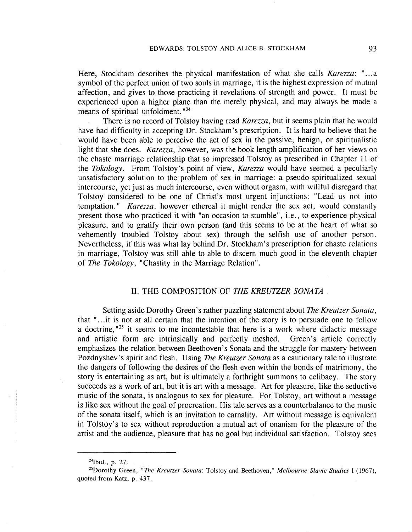Here, Stockham describes the physical manifestation of what she calls *Karezza:* "... a symbol of the perfect union of two souls in marriage, it is the highest expression of mutual affection, and gives to those practicing it revelations of strength and power. It must be experienced upon a higher plane than the merely physical, and may always be made a means of spiritual unfoldment.  $"^{24}$ 

There is no record of Tolstoy having read *Karezza,* but it seems plain that he would have had difficulty in accepting Dr. Stockham's prescription. It is hard to believe that he would have been able to perceive the act of sex in the passive, benign, or spiritualistic light that she does. *Karezza,* however, was the book length amplification of her views on the chaste marriage relationship that so impressed Tolstoy as prescribed in Chapter 11 of the *Tokology.* From Tolstoy's point of view, *Karezza* would have seemed a peculiarly unsatisfactory solution to the problem of sex in marriage: a pseudo-spiritualized sexual intercourse, yet just as much intercourse, even without orgasm, with willful disregard that Tolstoy considered to be one of Christ's most urgent injunctions: "Lead us not into temptation." *Karezza*, however ethereal it might render the sex act, would constantly present those who practiced it with "an occasion to stumble", i.e., to experience physical pleasure, and to gratify their own person (and this seems to be at the heart of what so vehemently troubled Tolstoy about sex) through the selfish use of another person. Nevertheless, if this was what lay behind Dr. Stockham's prescription for chaste relations in marriage, Tolstoy was still able to able to discern much good in the eleventh chapter of *The Tokology,* "Chastity in the Marriage Relation".

### II. THE COMPOSITION OF *THE KREU1ZER SONATA*

Setting aside Dorothy Green's rather puzzling statement about *The Kreutzer Sonata,* that" ...it is not at all certain that the intention of the story is to persuade one to follow a doctrine,  $n^{25}$  it seems to me incontestable that here is a work where didactic message and artistic form are intrinsically and perfectly meshed. Green's article correctly emphasizes the relation between Beethoven's Sonata and the struggle for mastery between Pozdnyshev's spirit and flesh. Using *The Kreutzer Sonata* as a cautionary tale to illustrate the dangers of following the desires of the flesh even within the bonds of matrimony, the story is entertaining as art, but is ultimately a forthright summons to celibacy. The story succeeds as a work of art, but it is art with a message. Art for pleasure, like the seductive music of the sonata, is analogous to sex for pleasure. For Tolstoy, art without a message is like sex without the goal of procreation. His tale serves as a counterbalance to the music of the sonata itself, which is an invitation to carnality. Art without message is equivalent in Tolstoy's to sex without reproduction a mutual act of onanism for the pleasure of the artist and the audience, pleasure that has no goal but individual satisfaction. Tolstoy sees

<sup>24</sup>Ibid., p. 27.

<sup>25</sup>Dorothy Green, *"The Kreutzer Sonata:* Tolstoy and Beethoven," *Melbourne Slavic Studies* I (1967), quoted from Katz, p. 437.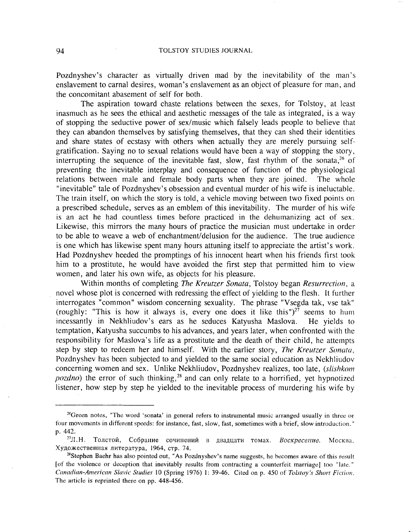Pozdnyshev's character as virtually driven mad by the inevitability of the man's enslavement to carnal desires, woman's enslavement as an object of pleasure for man, and the concomitant abasement of self for both.

The aspiration toward chaste relations between the sexes, for Tolstoy, at least inasmuch as he sees the ethical and aesthetic messages of the tale as integrated, is a way of stopping the seductive power of sex/music which falsely leads people to believe that they can abandon themselves by satisfying themselves, that they can shed their identities and share states of ecstasy with others when actually they are merely pursuing selfgratification. Saying no to sexual relations would have been a way of stopping the story, interrupting the sequence of the inevitable fast, slow, fast rhythm of the sonata,  $26$  of preventing the inevitable interplay and consequence of function of the physiological relations between male and female body parts when they are joined. The whole "inevitable" tale of Pozdnyshev's obsession and eventual murder of his wife is ineluctable. The train itself, on which the story is told, a vehicle moving between two fixed points on a prescribed schedule, serves as an emblem of this inevitability. The murder of his wife is an act he had countless times before practiced in the dehumanizing act of sex. Likewise, this mirrors the many hours of practice the musician must undertake in order to be able to weave a web of enchantment/delusion for the audience. The true audience is one which has likewise spent many hours attuning itself to appreciate the artist's work. Had Pozdnyshev heeded the promptings of his innocent heart when his friends first took him to a prostitute, he would have avoided the first step that permitted him to view women, and later his own wife, as objects for his pleasure.

Within months of completing *The Kreutzer Sonata,* Tolstoy began *Resurrection,* a novel whose plot is concerned with redressing the effect of yielding to the flesh. It further interrogates "common" wisdom concerning sexuality. The phrase "Vsegda tak, vse tak" (roughly: "This is how it always is, every one does it like this")<sup>27</sup> seems to hum incessantly in Nekhliudov's ears as he seduces Katyusha Maslova. He yields to temptation, Katyusha succumbs to his advances, and years later, when confronted with the responsibility for Maslova's life as a prostitute and the death of their child, he attempts step by step to redeem her and himself. With the earlier story, *The Kreutzer Sonata*, Pozdnyshev has been subjected to and yielded to the same social education as Nekhliudov concerning women and sex. Unlike Nekhliudov, Pozdnyshev realizes, too late, *(slishkom*  $pozdno$ ) the error of such thinking,<sup>28</sup> and can only relate to a horrified, yet hypnotized listener, how step by step he yielded to the inevitable process of murdering his wife by

<sup>&</sup>lt;sup>26</sup>Green notes, "The word 'sonata' in general refers to instrumental music arranged usually in three or four movements in different speeds: for instance, fast, slow, fast, sometimes with a brief, slow introduction." p.442.

<sup>&</sup>lt;sup>27</sup>Л.Н. Толстой, Собрание сочинений в двадцати томах. *Воскресение*. Москва, Художественная литература, 1964, стр. 74.

 $28$ Stephen Baehr has also pointed out, "As Pozdnyshev's name suggests, he becomes aware of this result [of the violence or deception that inevitably results from contracting a counterfeit marriage] too "late." *Clllladiau-Afnericllll Slavic Studies* 10 (Spring 1976) 1: 39-46. Cited on p. 450 of *Tolstoy's Short FictiON.* The article is reprinted there on pp. 448-456.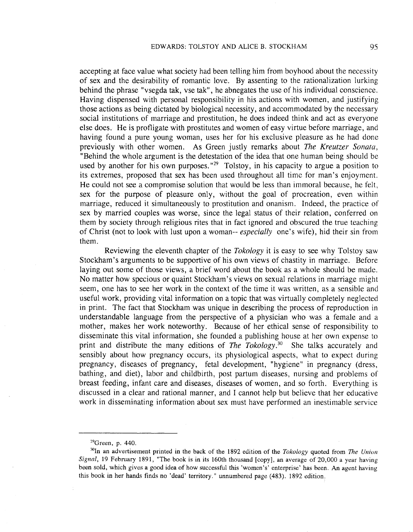accepting at face value what society had been telling him from boyhood about the necessity of sex and the desirability of romantic love. By assenting to the rationalization lurking behind the phrase "vsegda tak, vse tak", he abnegates the use of his individual conscience. Having dispensed with personal responsibility in his actions with women, and justifying those actions as being dictated by biological necessity, and accommodated by the necessary social institutions of marriage and prostitution, he does indeed think and act as everyone else does. He is profligate with prostitutes and women of easy virtue before marriage, and having found a pure young woman, uses her for his exclusive pleasure as he had done previously with other women. As Green justly remarks about *The Kreutzer Sonata*, "Behind the whole argument is the detestation of the idea that one human being should be used by another for his own purposes.  $129$  Tolstoy, in his capacity to argue a position to its extremes, proposed that sex has been used throughout all time for man's enjoyment. He could not see a compromise solution that would be less than immoral because, he felt, sex for the purpose of pleasure only, without the goal of procreation, even within marriage, reduced it simultaneously to prostitution and onanism. Indeed, the practice of sex by married couples was worse, since the legal status of their relation, conferred on them by society through religious rites that in fact ignored and obscured the true teaching of Christ (not to look with lust upon a woman-- *especially* one's wife), hid their sin from them.

Reviewing the eleventh chapter of the Tokology it is easy to see why Tolstoy saw Stockham's arguments to be supportive of his own views of chastity in marriage. Before laying out some of those views, a brief word about the book as a whole should be made. No matter how specious or quaint Stockham's views on sexual relations in marriage might seem, one has to see her work in the context of the time it was written, as a sensible and useful work, providing vital information on a topic that was virtually completely neglected in print. The fact that Stockham was unique in describing the process of reproduction in understandable language from the perspective of a physician who was a female and a mother, makes her work noteworthy. Because of her ethical sense of responsibility to disseminate this vital information, she founded a publishing house at her own expense to print and distribute the many editions of *The Tokology*.<sup>30</sup> She talks accurately and sensibly about how pregnancy occurs, its physiological aspects, what to expect during pregnancy, diseases of pregnancy, fetal development, "hygiene" in pregnancy (dress, bathing, and diet), labor and childbirth, post partum diseases, nursing and problems of breast feeding, infant care and diseases, diseases of women, and so forth. Everything is discussed in a clear and rational manner, and I cannot help but believe that her educative work in disseminating information about sex must have performed an inestimable service

 $29$ Green, p. 440.

<sup>30</sup>In an advertisement printed in the back of the 1892 edition of the *Tokology* quoted from *The Union Signal,* 19 February 1891, "The book is in its 160th thousand [copy], an average of 20,000 a year having been sold, which gives a good idea of how successful this 'women's' enterprise' has been. An agent having this book in her hands finds no 'dead' territory." unnumbered page (483). 1892 edition;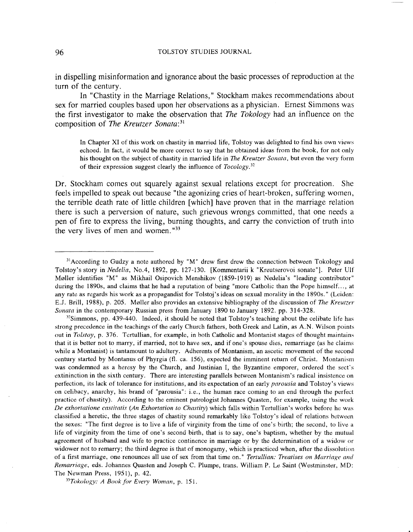#### 96 TOLSTOY STUDIES JOURNAL

in dispelling misinformation and ignorance about the basic processes of reproduction at the turn of the century.

In "Chastity in the Marriage Relations," Stockham makes recommendations about sex for married couples based upon her observations as a physician. Ernest Simmons was the first investigator to make the observation that *The Tokology* had an influence on the composition of *The Kreutzer Sonata:* <sup>31</sup>

In Chapter XI of this work on chastity in married life, Tolstoy was delighted to find his own views echoed. In fact, it would be more correct to say that he obtained ideas from the book, for not only his thought on the subject of chastity in married life in *The Kreutzer Sonata,* but even the very fornl of their expression suggest clearly the influence of *Tocology.* <sup>32</sup>

Dr. Stockham comes out squarely against sexual relations except for procreation. She feels impelled to speak out because "the agonizing cries of heart-broken, suffering women, the terrible death rate of little children [which] have proven that in the marriage relation there is such a perversion of nature, such grievous wrongs committed, that one needs a pen of fire to express the living, burning thoughts, and carry the conviction of truth into the very lives of men and women.  $133$ 

<sup>32</sup>Simmons, pp. 439-440. Indeed, it should be noted that Tolstoy's teaching about the celibate life has strong precedence in the teachings of the early Church fathers, both Greek and Latin, as A. N. Wilson points out in *Tolstoy,* p. 376. Tertullian, for example, in both Catholic and Montanist stages of thought maintains that it is better not to marry, if married, not to have sex, and if one's spouse dies, remarriage (as he claims while a Montanist) is tantamount to adultery. Adherents of Montanism, an ascetic movement of the second century started by Montanus of Phyrgia (fl. ca. 156), expected the imminent return of Christ. Montanism was condemned as a heresy by the Church, and Justinian I, the Byzantine emporer, ordered the sect's extininction in the sixth century. There are interesting parallels between Montanism's radical insistence on perfection, its lack of tolerance for institutions, and its expectation of an early *parousia* and Tolstoy's views on celibacy, anarchy, his brand of "parousia": i.e., the human race corning to an end through the perfect practice of chastity). According to the eminent patrologist Johannes Quasten, for example, using the work *De* exhortatione castitatis (An *Exhortation to Chastity*) which falls within Tertullian's works before he was classified a heretic, the three stages of chastity sound remarkably like Tolstoy's ideal of relations between the sexes: "The first degree is to live a life of virginity from the time of one's birth; the second, to live a life of virginity from the time of one's second birth, that is to say, one's baptism, whether by the mutual agreement of husband and wife to practice continence in marriage or by the determination of a widow or widower not to remarry; the third degree is that of monogamy, which is practiced when, after the dissolution of a first marriage, one renounces all use of sex from that time on." *Tertulliall: Treatises on Marriage and Renlarriage,* eds. Johannes Quasten and Joseph C. Plumpe, trans. William P. Le Saint (Westminster, MD: The Newman Press, 1951), p. 42.

*33Tokology: A Book for EvelY WOfnall,* p. 151.

<sup>&</sup>lt;sup>31</sup> According to Gudzy a note authored by "M" drew first drew the connection between Tokology and Tolstoy'S story in *Nedelia,* No.4, 1892, pp. 127-130. [Kommentarii k "Kreutserovoi sonate"]. Peter Ulf Møller identifies "M" as Mikhail Osipovich Menshikov (1859-1919) as Nedelia's "leading contributor" during the 1890s, and claims that he had a reputation of being "more Catholic than the Pope himself..., at any rate as regards his work as a propagandist for Tolstoj's ideas on sexual morality in the 1890s." (Leiden: E.J. Brill, 1988), p. 205. Meller also provides an extensive bibliography of the discussion of The *Kreutzer Sonata* in the contemporary Russian press from January 1890 to January 1892. pp. 314-328.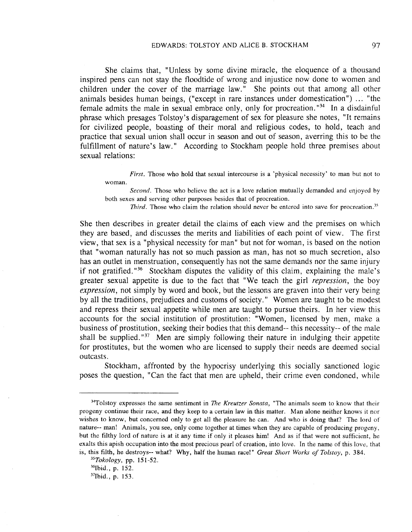She claims that, "Unless by some divine miracle, the eloquence of a thousand inspired pens can not stay the floodtide of wrong and injustice now done to women and children under the cover of the marriage law." She points out that among all other animals besides human beings, ("except in rare instances under domestication ") ... "the female admits the male in sexual embrace only, only for procreation.  $134$  In a disdainful phrase which presages Tolstoy's disparagement of sex for pleasure she notes, "It remains for civilized people, boasting of their moral and religious codes, to hold, teach and practice that sexual union shall occur in season and out of season, averring this to be the fulfillment of nature's law." According to Stockham people hold three premises about sexual relations:

*First.* Those who hold that sexual intercourse is a 'physical necessity' to man but not to woman.

*Second.* Those who believe the act is a love relation mutually demanded and enjoyed by both sexes and serving other purposes besides that of procreation.

Third. Those who claim the relation should never be entered into save for procreation.<sup>35</sup>

She then describes in greater detail the claims of each view and the premises on which they are based, and discusses the merits and liabilities of each point of view. The first view, that sex is a "physical necessity for man" but not for woman, is based on the notion that "woman naturally has not so much passion as man, has not so much secretion, also has an outlet in menstruation, consequently has not the same demands nor the same injury if not gratified.<sup>"36</sup> Stockham disputes the validity of this claim, explaining the male's greater sexual appetite is due to the fact that "We teach the girl *repression,* the boy *expression,* not simply by word and book, but the lessons are graven into their very being by all the traditions, prejudices and customs of society." Women are taught to be modest and repress their sexual appetite while men are taught to pursue theirs. In her view this accounts for the social institution of prostitution: "Women, licensed by men, make a business of prostitution, seeking their bodies that this demand-- this necessity-- of the male shall be supplied.  $137$  Men are simply following their nature in indulging their appetite for prostitutes, but the women who are licensed to supply their needs are deemed social outcasts.

Stockham, affronted by the hypocrisy underlying this socially sanctioned logic poses the question, "Can the fact that men are upheld, their crime even condoned, while

<sup>34</sup>Tolstoy expresses the same sentiment in The *Kreutzer Sonata,* "The animals seem to know that their progeny continue their race, and they keep to a certain law in this matter. Man alone neither knows it nor wishes to know, but concerned only to get all the pleasure he can. And who is doing that? The lord of nature-- man! Animals, you see, only come together at times when they are capable of producing progeny, but the filthy lord of nature is at it any time if only it pleases him! And as if that were not sufficient, he exalts this apish occupation into the most precious pearl of creation, into love. In the name of this love, that is, this filth, he destroys-- what? Why, half the human race!" *Great Short Works of Tolstoy,* p. 384.

<sup>35</sup>*Tokology,* pp. 151-52.

<sup>36</sup>Ibid., p. 152.

<sup>37</sup>Ibid., p. 153.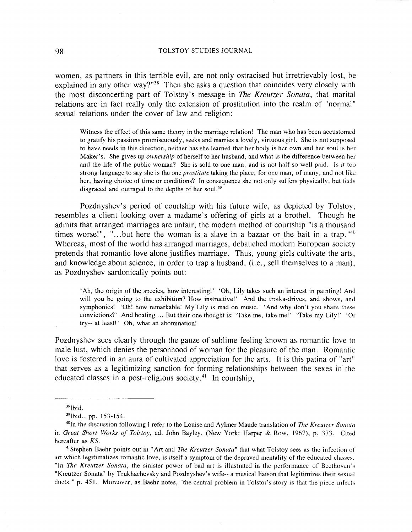#### 98 TOLSTOY STUDIES JOURNAL

women, as partners in this terrible evil, are not only ostracised but irretrievably lost, be explained in any other way?"<sup>38</sup> Then she asks a question that coincides very closely with the most disconcerting part of Tolstoy's message in *The Kreutzer Sonata,* that marital relations are in fact really only the extension of prostitution into the realm of "normal" sexual relations under the cover of law and religion:

Witness the effect of this same theory in the marriage relation! The man who has been accustomed to gratify his passions promiscuously, seeks and marries a lovely, virtuous girl. She is not supposed to have needs in this direction, neither has she learned that her body is her own and her soul is her Maker's. She gives up *ownership* of herself to her husband, and what is the difference between her and the life of the public woman? She is sold to one man, and is not half so well paid. Is it too strong language to say she is the one *prostitute* taking the place, for one man, of many, and not like her, having choice of time or conditions? In consequence she not only suffers physically, hut feels disgraced and outraged to the depths of her soul.<sup>39</sup>

Pozdnyshev's period of courtship with his future wife, as depicted by Tolstoy, resembles a client looking over a madame's offering of girls at a brothel. Though he admits that arranged marriages are unfair, the modern method of courtship "is a thousand times worse!", "...but here the woman is a slave in a bazaar or the bait in a trap.  $140$ Whereas, most of the world has arranged marriages, debauched modern European society pretends that romantic love alone justifies marriage. Thus, young girls cultivate the arts, and knowledge about science, in order to trap a husband, (i.e., sell themselves to a man), as Pozdnyshev sardonically points out:

'Ah, the origin of the species, how interesting!' 'Dh, Lily takes such an interest in painting! And will you be going to the exhibition? How instructive!' And the troika-drives, and shows, and symphonies! 'Oh! how remarkable! My Lily is mad on music.' 'And why don't you share these convictions?' And boating ... But their one thought is: 'Take me, take me!' 'Take my Lily!' 'Or try-- at least!' Dh, what an abomination!

Pozdnyshev sees clearly through the gauze of sublime feeling known as romantic love to male lust, which denies the personhood of woman for the pleasure of the man. Romantic love is fostered in an aura of cultivated appreciation for the arts. It is this patina of "art" that serves as a legitimizing sanction for forming relationships between the sexes in" the educated classes in a post-religious society. <sup>41</sup> In courtship,

<sup>38</sup>Ibid.

<sup>39</sup>Ibid., pp. 153-154.

<sup>40</sup>In the discussion following I refer to the Louise and Aylmer Maude translation of *The Kreutzer Sonata* in *Great Short Works of Tolstoy*, ed. John Bayley, (New York: Harper & Row, 1967), p. 373. Cited hereafter as *KS.*

<sup>41</sup> Stephen Baehr points out in "Art and *The Kreutzer Sonata"* that what Tolstoy sees as the infection of art which legitimatizes romantic love, is itself a symptom of the depraved mentality of the educated classes. "In *The Kreutzer Sonata*, the sinister power of bad art is illustrated in the performance of Beethoven's "Kreutzer Sonata" by Trukhachevsky and Pozdnyshev's wife-- a musical liaison that legitimizes their sexual duets." p. 451. Moreover, as Baehr notes, "the central problem in Tolstoi's story is that the piece infects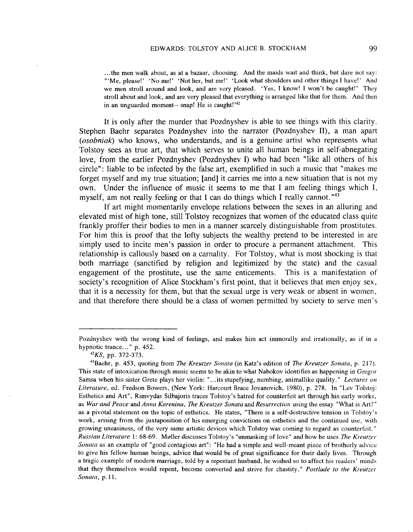...the men walk about, as at a bazaar, choosing. And the maids wait and think, but dare not say: "'Me, please!' 'No me!' 'Not her, but me!' 'Look what shoulders and other things I have!' And we men stroll around and look, and are very pleased. 'Yes, I know! I won't be caught!' They stroll about and look, and are very pleased that everything is arranged like that for them. And then in an unguarded moment-- snap! He is caught!'<sup>42</sup>

It is only after the murder that Pozdnyshev is able to see things with this clarity. Stephen Baehr separates Pozdnyshev into the narrator (Pozdnyshev II), a man apart (osobniak) who knows, who understands, and is a genuine artist who represents what Tolstoy sees as true art, that which serves to unite all human beings in self-abnegating love, from the earlier Pozdnyshev (Pozdnyshev I) who had been "like all others of his circle": liable to be infected by the false art, exemplified in such a music that "makes me forget myself and my true situation; [and] it carries me into a new situation that is not my own. Under the influence of music it seems to me that I am feeling things which I, myself, am not really feeling or that I can do things which I really cannot.  $43$ 

If art might momentarily envelope relations between the sexes in an alluring and elevated mist of high tone, still Tolstoy recognizes that women of the educated class quite frankly proffer their bodies to men in a manner scarcely distinguishable from prostitutes. For him this is proof that the lofty subjects the wealthy pretend to be interested in are simply used to incite men's passion in order to procure a permanent attachment. This relationship is callously based on a carnality. For Tolstoy, what is most shocking is that both marriage (sanctified by religion and legitimized by the state) and the casual engagement of the prostitute, use the same enticements. This is a manifestation of society's recognition of Alice Stockham's first point, that it believes that men enjoy sex, that it is a necessity for them, but that the sexual urge is very weak or absent in women, and that therefore there should be a class of women permitted by society to serve men's

Pozdnyshev with the wrong kind of feelings, and makes him act immorally and irrationally, as if in a hypnotic trance... " p. 452.

*<sup>42</sup>KS,* pp. 372-373.

<sup>43</sup>Baehr, p. 453, quoting from The *Kreutzer Sonata* (in Katz's edition of *The Kreutzer Sonata,* p. 217). This state of intoxication through music seems to be akin to what Nabokov identifies as happening in Gregor Samsa when his sister Grete plays her violin: "...its stupefying, numbing, animallike quality." Lectures on *Literature,* ed. Fredson Bowers, (New York: Harcourt Brace Jovanovich, 1980), p. 278. In "Lev Tolstoj: Esthetics and Art", Rimvydas Silbajoris traces Tolstoy'S hatred for counterfeit art through his early works, as *War and Peace* and *Anna Karenina, The Kreutzer Sonata* and *Resurrection* using the essay "What is Art?" as a pivotal statement on the topic of esthetics. He states, "There is a self-destructive tension in Tolstoy's work, arising from the juxtaposition of his emerging convictions on esthetics and the continued use, with growing uneasiness, of the very same artistic devices which Tolstoy was coming to regard as counterfeit. " *Russian Literature* 1: 68-69. Meller discusses-Tolstoy's "unmasking of love" and how he uses *The Kreutzer Sonata* as an example of "good contagious art": "He had a simple and well-meant piece of brotherly advice to give his fellow human beings, advice that would be of great significance for their daily lives. Through a tragic example of modem marriage, told by a repentant husband, he wished so to affect his readers' minds that they themselves would repent, become converted and strive for chastity." *Postlude to the Kreutzer Sonata,* p.ll.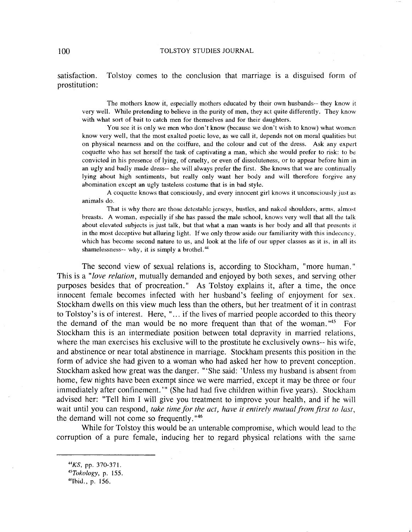satisfaction. Tolstoy comes to the conclusion that marriage is a disguised form of prostitution:

The mothers know it, especially mothers educated by their own husbands-- they know it very well. While pretending to believe in the purity of men, they act quite differently. They know with what sort of bait to catch men for themselves and for their daughters.

You see it is only we men who don't know (because we don't wish to know) what women know very well, that the most exalted poetic love, as we call it, depends not on moral qualities but on physical nearness and on the coiffure, and the colour and cut of the dress. Ask any expert coquette who has set herself the task of captivating a man, which she would prefer to risk: to be convicted in his presence of lying, of cruelty, or even of dissoluteness, or to appear before him in an ugly and badly made dress-- she will always prefer the first. She knows that we are continually lying about high sentiments, but really only want her body and will therefore forgive any ahomination except an ugly tasteless costume that is in bad style.

A coquette knows that consciously, and every innocent girl knows it unconsciously just as animals do.

That is why there are those detestable jerseys, bustles, and naked shoulders, arms, almost hreasts. A woman, especially if she has passed the male school, knows very well that all the talk about elevated subjects is just talk, but that what a man wants is her body and all that presents it in the most deceptive but alluring light. If we only throw aside our familiarity with this indecency which has become second nature to us, and look at the life of our upper classes as it is, in all its shamelessness-- why, it is simply a brothel.<sup>44</sup>

The second view of sexual relations is, according to Stockham, "more human." This is a *"love relation,* mutually demanded and enjoyed by both sexes, and serving other purposes besides that of procreation." As Tolstoy explains it, after a time, the once innocent female becomes infected with her husband's feeling of enjoyment for sex. Stockham dwells on this view much less than the others, but her treatment of it in contrast to Tolstoy's is of interest. Here, "... if the lives of married people accorded to this theory the demand of the man would be no more frequent than that of the woman.  $45$  For Stockham this is an intermediate position between total depravity in married relations, where the man exercises his exclusive will to the prostitute he exclusively owns-- his wife, and abstinence or near total abstinence in marriage. Stockham presents this position in the form of advice she had given to a woman who had asked her how to prevent conception. Stockham asked how great was the danger. "'She said: 'Unless my husband is absent from home, few nights have been exempt since we were married, except it may be three or four immediately after confinement.'" (She had had five children within five years). Stockham advised her: "Tell him I will give you treatment to improve your health, and if he will wait until you can respond, *take time for the act, have it entirely mutual from first to last,* the demand will not come so frequently.  $46$ 

While for Tolstoy this would be an untenable compromise, which would lead to the corruption of a pure female, inducing her to regard physical relations with the same

*<sup>44</sup>KS,* pp. 370-371.

<sup>45</sup> *Toko*!ogy, p. 155.

<sup>46</sup>Ibid., p. 156.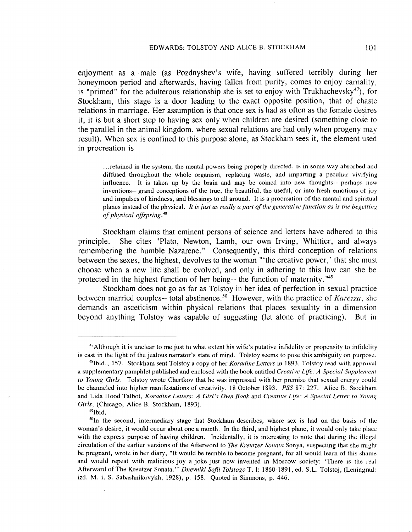enjoyment as a male (as Pozdnyshev's wife, having suffered terribly during her honeymoon period and afterwards, having fallen from purity, comes to enjoy carnality, is "primed" for the adulterous relationship she is set to enjoy with Trukhachevsky<sup>47</sup>), for Stockham, this stage is a door leading to the exact opposite position, that of chaste relations in marriage. Her assumption is that once sex is had as often as the female desires it, it is but a short step to having sex only when children are desired (something close to the parallel in the animal kingdom, where sexual relations are had only when progeny may result). When sex is confined to this purpose alone, as Stockham sees it, the element used in procreation is

...retained in the system, the mental powers being properly directed, is in some way absorbed and diffused throughout the whole organism, replacing waste, and imparting a peculiar vivifying influence. It is taken up by the brain and may be coined into new thoughts-- perhaps new inventions-- grand conceptions of the true, the beautiful, the useful, or into fresh emotions of joy and impulses of kindness, and blessings to all around. It is a procreation of the mental and spiritual planes instead of the physical. *It isjust as really a part ofthe generative function as is the begetting ofphysical offspring. <sup>48</sup>*

Stockham claims that eminent persons of science and letters have adhered to this principle. She cites "Plato, Newton, Lamb, our own Irving, Whittier, and always remembering the humble Nazarene." Consequently, this third conception of relations between the sexes, the highest, devolves to the woman "'the creative power,' that she must choose when a new life shall be evolved, and only in adhering to this law can she be protected in the highest function of her being-- the function of maternity.<sup> $49$ </sup>

Stockham does not go as far as Tolstoy in her idea of perfection in sexual practice between married couples-- total abstinence.<sup>50</sup> However, with the practice of *Karezza*, she demands an asceticism within physical relations that places sexuality in a dimension beyond anything Tolstoy was capable of suggesting (let alone of practicing). But in

<sup>&</sup>lt;sup>47</sup>Although it is unclear to me just to what extent his wife's putative infidelity or propensity to infidelity is cast in the light of the jealous narrator's state of mind. Tolstoy seems to pose this ambiguity on purpose.

<sup>48</sup>Ibid., 157. Stockham sent Tolstoy a copy of her *Koradine Letters* in 1893. Tolstoy read with approval a supplementary pamphlet published and enclosed with the book entitled *Creative Life: A Special Supplement to Young Girls.* Tolstoy wrote Chertkov that he was impressed with her premise that sexual energy could be channeled into higher manifestations of creativity. 18 October 1893. *PSS* 87: 227. Alice B. Stockham and Lida Hood Talbot, *Koradine Letters: A Girl's Own Book* and *Creative Life: A Special Letter to Young . Girls,* (Chicago, Alice B. Stockham, 1893).

<sup>49</sup>lbid.

soln the second, intermediary stage that Stockham describes, where sex is had on the basis of the woman's desire, it would occur about one a month. In the third, and highest plane, it would only take place with the express purpose of having children. Incidentally, it is interesting to note that during the illegal circulation of the earlier versions of the Afterword to *The Kreutzer Sonata* Sonya, suspecting that she might be pregnant, wrote in her diary, "It would be terrible to become pregnant, for all would learn of this shame and would repeat with malicious joy a joke just now invented in Moscow society: 'There is the real Afterward of The Kreutzer Sonata.'" *Dnevniki Sofii Tolstogo* T. I: 1860-1891, ed. S.L. Tolstoj, (Leningrad: izd. M. i. S. Sabashnikovykh, 1928), p. 158. Quoted in Simmons, p. 446.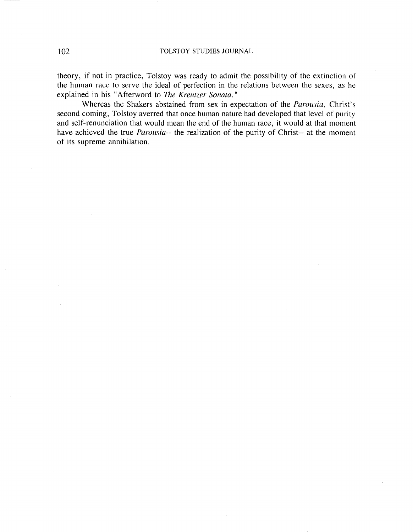### 102 TOLSTOY STUDIES JOURNAL

theory, if not in practice, Tolstoy was ready to admit the possibility of the extinction of the human race to serve the ideal of perfection in the relations between the sexes, as he explained in his "Afterword to *The Kreutzer Sonata. "*

Whereas the Shakers abstained from sex in expectation of the *Parousia,* Christ's second coming, Tolstoy averred that once human nature had developed that level of purity and self-renunciation that would mean the end of the human race, it would at that moment have achieved the true *Parousia--* the realization of the purity of Christ-- at the moment of its supreme annihilation.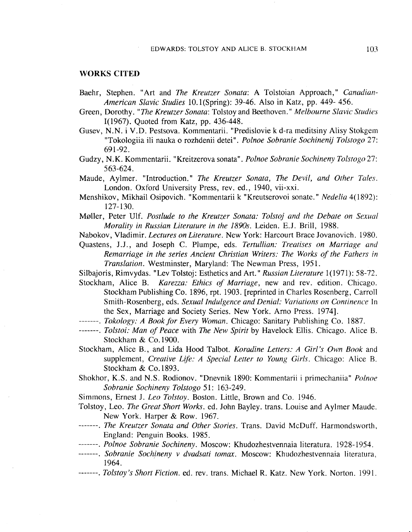# WORKS CITED

- Baehr, Stephen. "Art and *The Kreutzer Sonata:* A Tolstoian Approach," *Canadian-American Slavic Studies* 10. 1(Spring): 39-46. Also in Katz, pp. 449- 456.
- Green, Dorothy. *"The Kreutzer Sonata:* Tolstoy and Beethoven." *Melbourne Slavic Studies* 1(1967). Quoted from Katz, pp. 436-448.
- Gusev, N.N. i V.D. Pestsova. Kommentarii. "Predislovie k d-ra meditsiny Alisy Stokgem "Tokologiia iIi nauka 0 rozhdenii detei". *Polnoe Sobranie Sochinenij Tolstogo 27:* 691-92.
- Gudzy, N.K. Kommentarii. "Kreitzerova sonata". *Polnoe Sobranie Sochineny Tolstogo 27:* 563-624.
- Maude, Aylmer. "Introduction." *The Kreutzer Sonata, The Devil, and Other Tale's.* London. Oxford University Press, rev. ed., 1940, vii-xxi.
- Menshikov, Mikhail Osipovich. "Kommentarii k "Kreutserovoi sonate." *Nedelia* 4(1892): 127-130.
- M011er, Peter Ulf. *Postlude to the Kreutzer Sonata: Tolstoj an,d the Debate on. Sexual Morality in Russian Literature in the 1890s.* Leiden. E.J. Brill, 1988.
- Nabokov, Vladimir. *Lectures on Literature.* New York: Harcourt Brace Jovanovich. 1980.
- Quastens, J.J., and Joseph C. Plumpe, eds. *Tertullian: Treatises on Marriage and Remarriage in the series Ancient Christian Writers: The Works of the Fathers in Translation,.* Westminster, Maryland: The Newman Press, 1951.

Silbajoris, Rimvydas. "Lev Tolstoj: Esthetics and Art." *Russian Literature* 1(1971): 58-72.

- Stockham" Alice B. *Karezza: Ethics of Marriage,* new and rev. edition. Chicago. Stockham Publishing Co. 1896, rpt. 1903. [reprinted in Charles Rosenberg, Carroll Smith-Rosenberg, eds. *Sexual Indulgence and Denial: Variations on Conlinen,ce* In the Sex, Marriage and Society Series. New York. Arno Press. 1974].
- -------. *Tokology: A Bookfor Every Woman.* Chicago: Sanitary Publishing Co. 1887.
- -------. *Tolstoi: Man of Peace* with *The New Spirit* by Havelock Ellis. Chicago. Alice B. Stockham & Co. 1900.
- Stockham, Alice B., and Lida Hood Talbot. *Koradine Letters:* A *Girl's Own, Book* and supplement, *Creative Life: A Special Letter to Youn,g Girls.* Chicago: Alice B. Stockham & Co.1893.
- Shokhor, K.S. and N.S. Rodionov. "Dnevnik 1890: Kommentarii i primechaniia" *Polnoe Sobranie Sochineny Tolstogo* 51: 163-249.

Simmons, Ernest J. *Leo Tolstoy.* Boston. Little, Brown and Co. 1946.

- Tolstoy, Leo. *The Great Short Works.* ed. John Bayley. trans. Louise and Aylmer Maude. New York. Harper & Row. 1967.
- -------. *The Kreutzer Sonata and Other Stories.* Trans. David McDuff. Harmondsworth, England: Penguin Books. 1985.
- -------. *Polnoe Sobranie Sochineny.* Moscow: Khudozhestvennaia literatura. 1928-1954.
- -------. *Sobranie Soch/nen.y v dvadsati tomax.* Moscow: Khudozhestvennaia literatura, 1964.
- -------. *Tolstoy's Short Fiction.* ed. rev. trans. Michael R. Katz. New York. Norton. 1991.